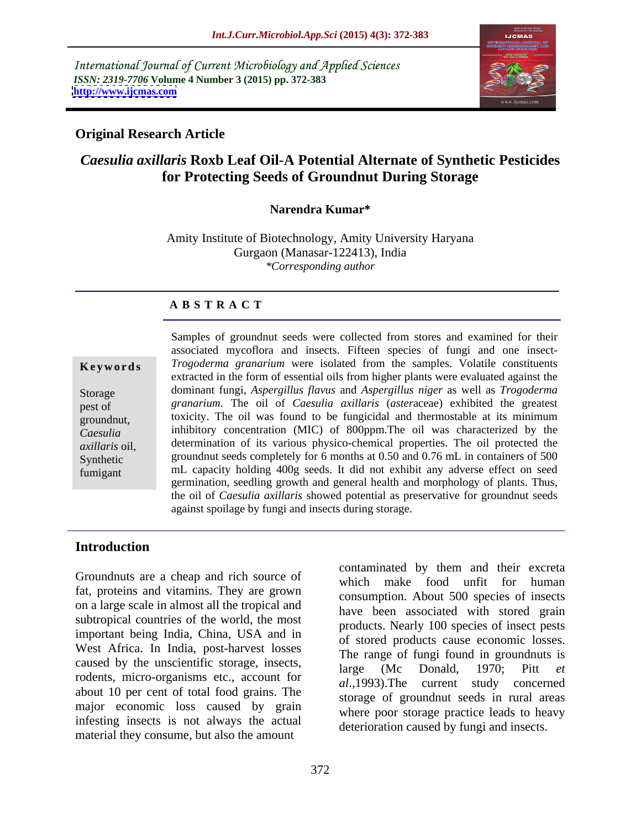International Journal of Current Microbiology and Applied Sciences *ISSN: 2319-7706* **Volume 4 Number 3 (2015) pp. 372-383 <http://www.ijcmas.com>**



#### **Original Research Article**

### *Caesulia axillaris* **Roxb Leaf Oil-A Potential Alternate of Synthetic Pesticides for Protecting Seeds of Groundnut During Storage**

#### **Narendra Kumar\***

Amity Institute of Biotechnology, Amity University Haryana Gurgaon (Manasar-122413), India *\*Corresponding author*

#### **A B S T R A C T**

fumigant

Samples of groundnut seeds were collected from stores and examined for their associated mycoflora and insects. Fifteen species of fungi and one insect- **Keywords** *Trogoderma granarium* were isolated from the samples. Volatile constituents extracted in the form of essential oils from higher plants were evaluated against the dominant fungi, *Aspergillus flavus* and *Aspergillus niger* as well as *Trogoderma*  Storage *granarium*. The oil of *Caesulia axillaris* (*aster*aceae) exhibited the greatest pest of toxicity. The oil was found to be fungicidal and thermostable at its minimum groundnut, Caesulia inhibitory concentration (MIC) of 800ppm. The oil was characterized by the determination of its various physico-chemical properties. The oil protected the *axillaris* oil, Synthetic groundnut seeds completely for 6 months at 0.50 and 0.76 mL in containers of 500 mL capacity holding 400g seeds. It did not exhibit any adverse effect on seed germination, seedling growth and general health and morphology of plants. Thus, the oil of *Caesulia axillaris*showed potential as preservative for groundnut seeds against spoilage by fungi and insects during storage.

### **Introduction**

Groundnuts are a cheap and rich source of which make food unfit for human fat, proteins and vitamins. They are grown on a large scale in almost all the tropical and subtropical countries of the world, the most important being India, China, USA and in West Africa. In India, post-harvest losses caused by the unscientific storage, insects,<br>large (Mc Donald, 1970; Pitt et rodents, micro-organisms etc., account for about 10 per cent of total food grains. The major economic loss caused by grain infesting insects is not always the actual material they consume, but also the amount

contaminated by them and their excreta which make food unfit for human consumption. About 500 species of insects have been associated with stored grain products. Nearly 100 species of insect pests of stored products cause economic losses. The range of fungi found in groundnuts is large (Mc Donald, 1970; Pitt *et al*.,1993).The current study concerned storage of groundnut seeds in rural areas where poor storage practice leads to heavy deterioration caused by fungi and insects.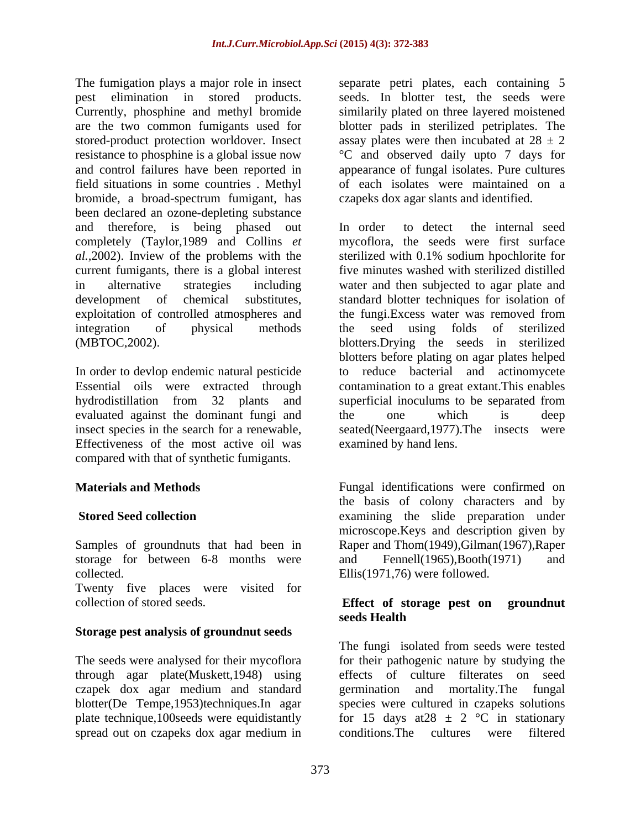The fumigation plays a major role in insect separate petri plates, each containing 5 pest elimination in stored products. seeds. In blotter test, the seeds were Currently, phosphine and methyl bromide similarily plated on three layered moistened are the two common fumigants used for blotter pads in sterilized petriplates. The stored-product protection worldover. Insect assay plates were then incubated at  $28 \pm 2$ resistance to phosphine is a global issue now °C and observed daily upto 7 days for and control failures have been reported in field situations in some countries . Methyl bromide, a broad-spectrum fumigant, has been declared an ozone-depleting substance completely (Taylor,1989 and Collins *et al.,*2002). Inview of the problems with the current fumigants, there is a global interest exploitation of controlled atmospheres and the fungi. Excess water was removed from

In order to devlop endemic natural pesticide hydrodistillation from 32 plants and superficial inoculums to be separated from evaluated against the dominant fungi and the one which is deep Effectiveness of the most active oil was compared with that of synthetic fumigants.

Samples of groundnuts that had been in storage for between 6-8 months were and Fennell(1965), Booth(1971) and

Twenty five places were visited for collection of stored seeds. **Effect of storage pest on groundnut**

#### **Storage pest analysis of groundnut seeds**

through agar plate(Muskett,1948) using czapek dox agar medium and standard

appearance of fungal isolates. Pure cultures of each isolates were maintained on a czapeks dox agar slants and identified.

and therefore, is being phased out In order to detect the internal seed in alternative strategies including water and then subjected to agar plate and development of chemical substitutes, standard blotter techniques for isolation of integration of physical methods (MBTOC,2002). blotters.Drying the seeds in sterilized Essential oils were extracted through contamination to a great extant.This enables insect species in the search for a renewable, seated(Neergaard,1977). The insects were In order to detect the internal seed mycoflora, the seeds were first surface sterilized with 0.1% sodium hpochlorite for five minutes washed with sterilized distilled the fungi.Excess water was removed from the seed using folds of sterilized blotters before plating on agar plates helped reduce bacterial and actinomycete superficial inoculums to be separated from the one which is deep examined by hand lens.

**Materials and Methods** Fungal identifications were confirmed on **Stored Seed collection**  examining the slide preparation under collected. Ellis(1971,76) were followed. the basis of colony characters and by microscope.Keys and description given by Raper and Thom(1949),Gilman(1967),Raper and Fennell(1965),Booth(1971) and

## **seeds Health**

The seeds were analysed for their mycoflora for their pathogenic nature by studying the blotter(De Tempe,1953)techniques.In agar species were cultured in czapeks solutions plate technique, 100 seeds were equidistantly for 15 days at  $28 \pm 2$  °C in stationary spread out on czapeks dox agar medium in conditions. The cultures were filtered The fungi isolated from seeds were tested effects of culture filterates on seed germination and mortality.The fungal conditions.The cultures were filtered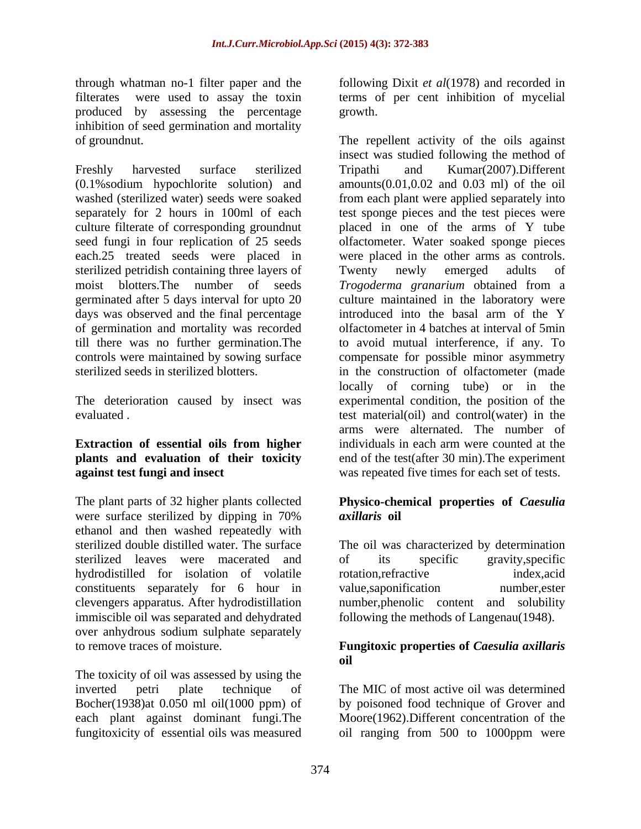through whatman no-1 filter paper and the following Dixit *et al*(1978) and recorded in filterates were used to assay the toxin terms of per cent inhibition of mycelial produced by assessing the percentage inhibition of seed germination and mortality

(0.1%sodium hypochlorite solution) and sterilized petridish containing three layers of Twenty newly emerged adults of days was observed and the final percentage introduced into the basal arm of the Y of germination and mortality was recorded

The plant parts of 32 higher plants collected **Physico-chemical properties of** *Caesulia*  were surface sterilized by dipping in 70% axillaris oil ethanol and then washed repeatedly with sterilized double distilled water. The surface The oil was characterized by determination sterilized leaves were macerated and of its specific gravity, specific hydrodistilled for isolation of volatile rotation, refractive index, acid constituents separately for 6 hour in clevengers apparatus. After hydrodistillation number,phenolic content and solubility immiscible oil was separated and dehydrated over anhydrous sodium sulphate separately

The toxicity of oil was assessed by using the inverted petri plate technique of The MIC of most active oil was determined Bocher(1938)at 0.050 ml oil(1000 ppm) of by poisoned food technique of Grover and each plant against dominant fungi.The Moore(1962).Different concentration of the

growth. The contract of the contract of the contract of the contract of the contract of the contract of the contract of the contract of the contract of the contract of the contract of the contract of the contract of the co

of groundnut. The repellent activity of the oils against Freshly harvested surface sterilized Tripathi and Kumar(2007).Different washed (sterilized water) seeds were soaked from each plant were applied separately into separately for 2 hours in 100ml of each test sponge pieces and the test pieces were culture filterate of corresponding groundnut placed in one of the arms of Y tube seed fungi in four replication of 25 seeds olfactometer. Water soaked sponge pieces each.25 treated seeds were placed in were placed in the other arms as controls. moist blotters.The number of seeds *Trogoderma granarium* obtained from a germinated after 5 days interval for upto 20 culture maintained in the laboratory were till there was no further germination.The to avoid mutual interference, if any. To controls were maintained by sowing surface compensate for possible minor asymmetry sterilized seeds in sterilized blotters. in the construction of olfactometer (made The deterioration caused by insect was experimental condition, the position of the evaluated . test material(oil) and control(water) in the **Extraction of essential oils from higher plants and evaluation of their toxicity** end of the test(after 30 min).The experiment **against test fungi and insect** was repeated five times for each set of tests. insect was studied following the method of Tripathi and Kumar(2007).Different amounts $(0.01, 0.02$  and  $0.03$  ml) of the oil Twenty newly emerged adults of introduced into the basal arm of the Y olfactometer in 4 batches at interval of 5min locally of corning tube) or in the arms were alternated. The number of individuals in each arm were counted at the

# *axillaris* **oil**

of its specific gravity,specific rotation,refractive index,acid value, saponification number, ester following the methods of Langenau(1948).

### to remove traces of moisture. **Fungitoxic properties of** *Caesulia axillaris* **oil**

fungitoxicity of essential oils was measured oil ranging from 500 to 1000ppm were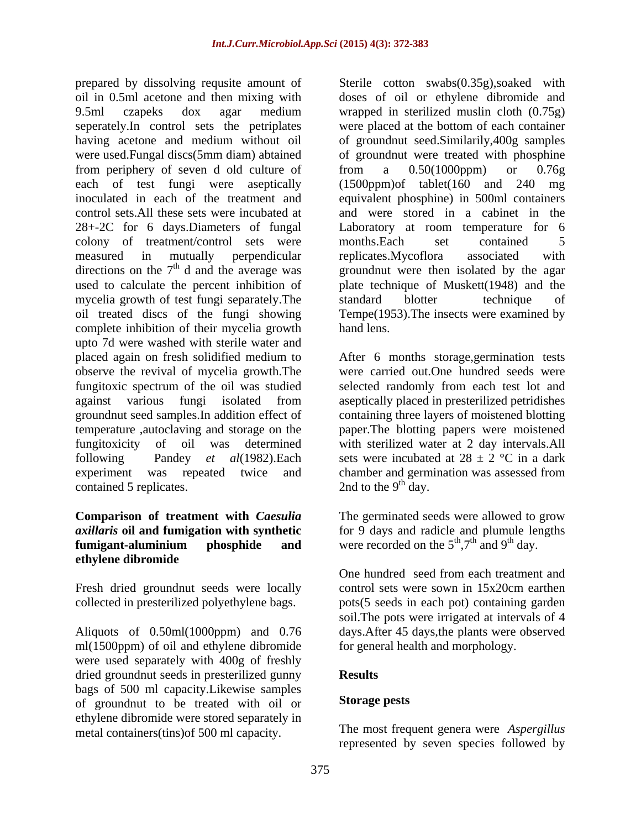prepared by dissolving requsite amount of Sterile cotton swabs(0.35g),soaked with oil in 0.5ml acetone and then mixing with doses of oil or ethylene dibromide and 9.5ml czapeks dox agar medium seperately.In control sets the petriplates were placed at the bottom of each container having acetone and medium without oil of groundnut seed.Similarily,400g samples were used.Fungal discs(5mm diam) abtained of groundnut were treated with phosphine from periphery of seven d old culture of from a 0.50(1000ppm) or 0.76g each of test fungi were aseptically (1500ppm) of tablet (160 and 240 mg) inoculated in each of the treatment and equivalent phosphine) in 500ml containers control sets.All these sets were incubated at and were stored in a cabinet in the 28+-2C for 6 days.Diameters of fungal Laboratory at room temperature for 6 colony of treatment/control sets were months.Each set contained 5 measured in mutually perpendicular directions on the  $7<sup>th</sup>$  d and the average was groundnut were then isolated by the agar used to calculate the percent inhibition of plate technique of Muskett(1948) and the mycelia growth of test fungi separately. The standard blotter technique of oil treated discs of the fungi showing Tempe(1953).The insects were examined by complete inhibition of their mycelia growth hand lens. upto 7d were washed with sterile water and placed again on fresh solidified medium to After 6 months storage,germination tests observe the revival of mycelia growth.The fungitoxic spectrum of the oil was studied selected randomly from each test lot and against various fungi isolated from aseptically placed in presterilized petridishes groundnut seed samples.In addition effect of containing three layers of moistened blotting temperature ,autoclaving and storage on the fungitoxicity of oil was determined with sterilized water at 2 day intervals.All following Pandey *et al*(1982).Each sets were incubated at  $28 \pm 2$  °C in a dark experiment was repeated twice and chamber and germination was assessed from contained 5 replicates.

## **fumigant-aluminium phosphide and ethylene dibromide**

Fresh dried groundnut seeds were locally

ml(1500ppm) of oil and ethylene dibromide were used separately with 400g of freshly dried groundnut seeds in presterilized gunny Results bags of 500 ml capacity. Likewise samples<br>of groundnut to be treated with oil or **Storage pests** of groundnut to be treated with oil or ethylene dibromide were stored separately in metal containers(tins)of 500 ml capacity.

wrapped in sterilized muslin cloth (0.75g) from a 0.50(1000ppm) or 0.76g  $(1500ppm)$ of tablet $(160$  and 240 months.Each set contained 5 replicates.Mycoflora associated with standard blotter technique of hand lens.

were carried out.One hundred seeds were paper.The blotting papers were moistened chamber and germination was assessed from 2nd to the  $9<sup>th</sup>$  day.

**Comparison of treatment with** *Caesulia*  The germinated seeds were allowed to grow *axillaris* **oil and fumigation with synthetic** for 9 days and radicle and plumule lengths were recorded on the  $5<sup>th</sup>$ ,  $7<sup>th</sup>$  and  $9<sup>th</sup>$  day.

collected in presterilized polyethylene bags. pots(5 seeds in each pot) containing garden Aliquots of 0.50ml(1000ppm) and 0.76 days.After 45 days,the plants were observed One hundred seed from each treatment and control sets were sown in 15x20cm earthen soil.The pots were irrigated at intervals of 4 for general health and morphology.

#### **Results**

#### **Storage pests**

The most frequent genera were *Aspergillus* represented by seven species followed by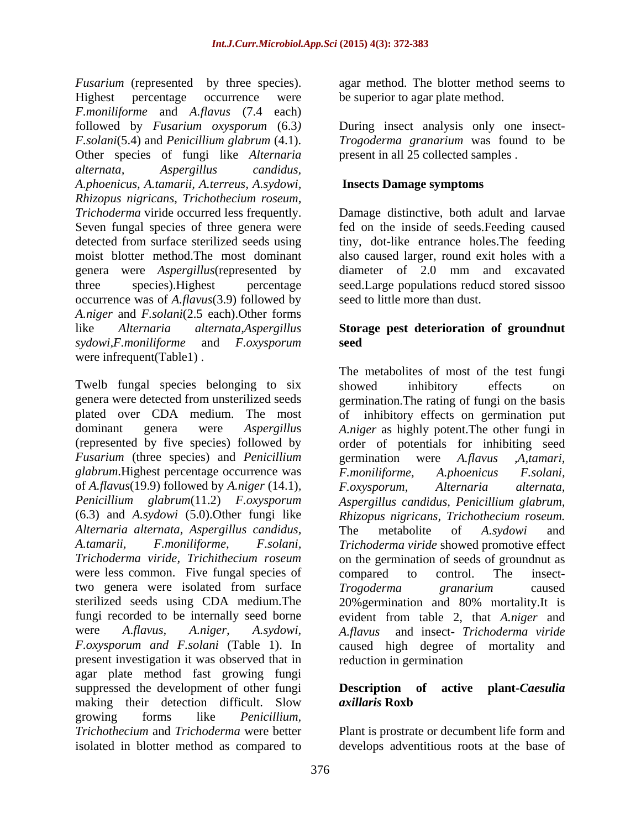*Fusarium* (represented by three species). Highest percentage occurrence were be superior to agar plate method. *F.moniliforme* and *A.flavus* (7.4 each) followed by *Fusarium oxysporum* (6.3*)*  During insect analysis only one insect- *F.solani*(5.4) and *Penicillium glabrum* (4.1). *Trogoderma granarium* was found to be Other species of fungi like *Alternaria alternata, Aspergillus candidus, A.phoenicus, A.tamarii, A.terreus, A.sydowi, Rhizopus nigricans*, *Trichothecium roseum, Trichoderma* viride occurred less frequently. Seven fungal species of three genera were detected from surface sterilized seeds using tiny, dot-like entrance holes.The feeding moist blotter method.The most dominant also caused larger, round exit holes with a genera were *Aspergillus*(represented by three species).Highest percentage seed.Large populations reducd stored sissoo occurrence was of *A.flavus*(3.9) followed by *A.niger* and *F.solani*(2.5 each).Other forms like *Alternaria alternata,Aspergillus* **Storage pest deterioration of groundnut** *sydowi,F.moniliforme* and *F.oxysporum* were infrequent(Table1) .

Twelb fungal species belonging to six showed inhibitory effects on *Fusarium* (three species) and *Penicillium glabrum*.Highest percentage occurrence was of *A.flavus*(19.9) followed by *A.niger* (14.1)*, Alternaria alternata, Aspergillus candidus,* were less common. Five fungal species of compared to control. The insecttwo genera were isolated from surface Trogoderma granarium caused were *A*.*flavus, A.niger, A.sydowi, F.oxysporum and F.solani* (Table 1). In present investigation it was observed that in agar plate method fast growing fungi suppressed the development of other fungi **Description** of active plant-Caesulia making their detection difficult. Slow axillaris Roxh growing forms like *Penicillium, Trichothecium* and *Trichoderma* were better Plant is prostrate or decumbent life form and

agar method. The blotter method seems to

present in all 25 collected samples .

### **Insects Damage symptoms**

Damage distinctive, both adult and larvae fed on the inside of seeds.Feeding caused diameter of 2.0 mm and excavated seed to little more than dust.

## **seed**

genera were detected from unsterilized seeds germination.The rating of fungi on the basis plated over CDA medium. The most of inhibitory effects on germination put dominant genera were *Aspergillu*s *A.niger* as highly potent.The other fungi in (represented by five species) followed by order of potentials for inhibiting seed *Penicillium glabrum*(11.2) *F.oxysporum Aspergillus candidus, Penicillium glabrum,* (6.3) and *A.sydowi* (5.0).Other fungi like *Rhizopus nigricans, Trichothecium roseum. A.tamarii, F.moniliforme, F.solani, Trichoderma viride* showed promotive effect *Trichoderma viride, Trichithecium roseum* on the germination of seeds of groundnut as sterilized seeds using CDA medium.The 20%germination and 80% mortality.It is fungi recorded to be internally seed borne evident from table 2, that *A.niger* and The metabolites of most of the test fungi showed inhibitory effects on germination were *A.flavus ,A,tamari, F.moniliforme, A.phoenicus F.solani, F.oxysporum, Alternaria alternata,* The metabolite of *A.sydowi* and compared to control. The insect- *Trogoderma granarium* caused *A.flavus* and insect- *Trichoderma viride* caused high degree of mortality and reduction in germination

#### **Description of active plant-***Caesulia axillaris* **Roxb**

isolated in blotter method as compared to develops adventitious roots at the base of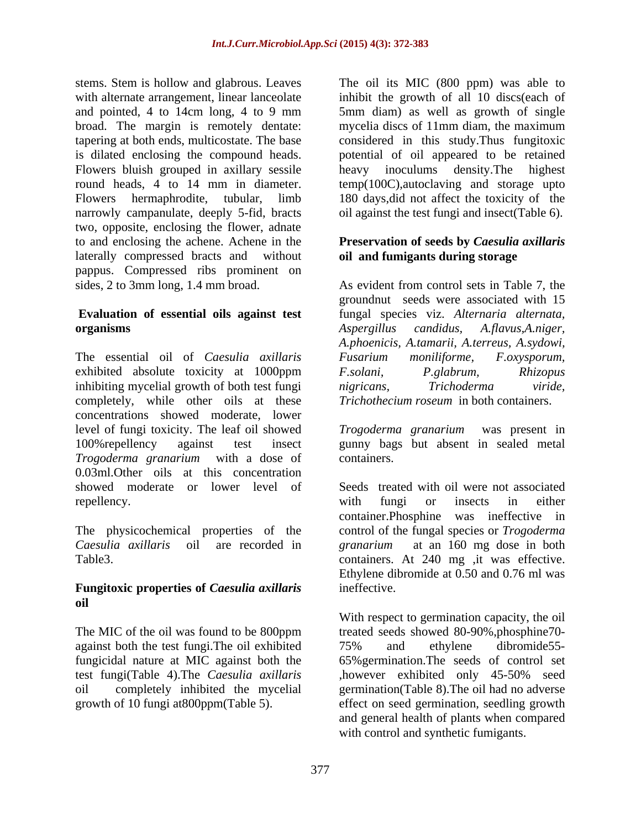stems. Stem is hollow and glabrous. Leaves The oil its MIC (800 ppm) was able to with alternate arrangement, linear lanceolate inhibit the growth of all 10 discs(each of and pointed, 4 to 14cm long, 4 to 9 mm 5mm diam) as well as growth of single broad. The margin is remotely dentate: mycelia discs of 11mm diam, the maximum tapering at both ends, multicostate. The base considered in this study.Thus fungitoxic is dilated enclosing the compound heads. potential of oil appeared to be retained Flowers bluish grouped in axillary sessile heavy inoculums density. The highest round heads, 4 to 14 mm in diameter. temp(100C),autoclaving and storage upto Flowers hermaphrodite, tubular, limb 180 days,did not affect the toxicity of the narrowly campanulate, deeply 5-fid, bracts two, opposite, enclosing the flower, adnate to and enclosing the achene. Achene in the **Preservation of seeds by** *Caesulia axillaris* laterally compressed bracts and without pappus. Compressed ribs prominent on sides, 2 to 3mm long, 1.4 mm broad. As evident from control sets in Table 7, the

The essential oil of *Caesulia axillaris* exhibited absolute toxicity at 1000ppm F.solani, P.glabrum, Rhizopus inhibiting mycelial growth of both test fungi *nigricans*, *Trichoderma viride*, completely, while other oils at these concentrations showed moderate, lower level of fungi toxicity. The leaf oil showed *Trogoderma granarium* was present in 100%repellency against test insect gunny bags but absent in sealed metal *Trogoderma granarium* with a dose of 0.03ml.Other oils at this concentration showed moderate or lower level of Seeds treated with oil were not associated repellency. The contraction of the contraction of the contraction of the contraction of the contraction of the contraction of the contraction of the contraction of the contraction of the contraction of the contraction of t

#### **Fungitoxic properties of** *Caesulia axillaris* **oil**

against both the test fungi. The oil exhibited  $\frac{75\%}{25\%}$  and ethylene dibromide 55fungicidal nature at MIC against both the test fungi(Table 4). The *Caesulia axillaris* 

5mm diam) as well as growth of single oil against the test fungi and insect(Table 6).

# **oil and fumigants during storage**

**Evaluation of essential oils against test** fungal species viz. *Alternaria alternata,* **organisms by a straight and a straight a straight a straight a straight a straight a straight a straight a straight a straight a straight a straight a straight a straight a straight a straight a straight a straight a st** groundnut seeds were associated with 15 *Aspergillus candidus, A.flavus,A.niger, A.phoenicis, A.tamarii, A.terreus, A.sydowi, Fusarium moniliforme, F.oxysporum, F.solani, P.glabrum, Rhizopus nigricans, Trichoderma viride, Trichothecium roseum* in both containers.

containers.

The physicochemical properties of the control of the fungal species or *Trogoderma Caesulia axillaris* oil are recorded in Table3. containers. At 240 mg ,it was effective. with fungi or insects in either container.Phosphine was ineffective in *granarium* at an 160 mg dose in both Ethylene dibromide at 0.50 and 0.76 ml was ineffective.

The MIC of the oil was found to be 800ppm treated seeds showed 80-90%,phosphine70 test fungi(Table 4).The *Caesulia axillaris* ,however exhibited only 45-50% seed oil completely inhibited the mycelial germination(Table 8).The oil had no adverse growth of 10 fungi at800ppm(Table 5). effect on seed germination, seedling growth With respect to germination capacity, the oil 75% and ethylene dibromide55- 65%germination.The seeds of control set and general health of plants when compared with control and synthetic fumigants.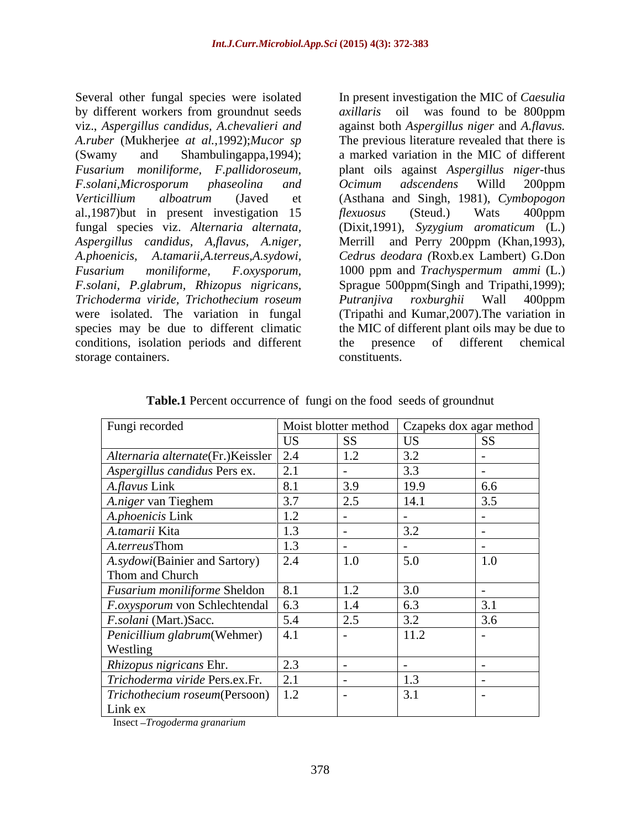Several other fungal species were isolated In present investigation the MIC of *Caesulia*  by different workers from groundnut seeds axillaris oil was found to be 800ppm viz., *Aspergillus candidus, A.chevalieri and* against both *Aspergillus niger* and *A.flavus. A.ruber* (Mukherjee *at al.,*1992);*Mucor sp* (Swamy and Shambulingappa,1994); a marked variation in the MIC of different *Fusarium moniliforme, F.pallidoroseum,* plant oils against *Aspergillus niger-*thus *F.solani,Microsporum phaseolina and Verticillium alboatrum* (Javed et (Asthana and Singh, 1981), *Cymbopogon*  al.,1987)but in present investigation 15 *flexuosus* (Steud.) Wats 400ppm fungal species viz. *Alternaria alternata,* (Dixit,1991), *Syzygium aromaticum* (L.) *Aspergillus candidus, A,flavus, A.niger,* Merrill and Perry 200ppm (Khan,1993), *A.phoenicis, A.tamarii,A.terreus,A.sydowi, Cedrus deodara (*Roxb.ex Lambert) G.Don *Fusarium moniliforme, F.oxysporum,* 1000 ppm and *Trachyspermum ammi* (L.) *F.solani, P.glabrum, Rhizopus nigricans,* Sprague 500ppm(Singh and Tripathi,1999); *Trichoderma viride, Trichothecium roseum* were isolated. The variation in fungal (Tripathi and Kumar,2007).The variation in species may be due to different climatic the MIC of different plant oils may be due to conditions, isolation periods and different the presence of different chemical storage containers.  $\blacksquare$ 

*axillaris* oil was found to be 800ppm The previous literature revealed that there is *Ocimum adscendens* Willd 200ppm *flexuosus* (Steud.) Wats 400ppm *Putranjiva roxburghii* Wall 400ppm the presence of different chemical constituents.

| Fungi recorded                                         |     |           |           | Moist blotter method   Czapeks dox agar method |
|--------------------------------------------------------|-----|-----------|-----------|------------------------------------------------|
|                                                        | US. | <b>SS</b> | <b>US</b> | <b>SS</b>                                      |
| Alternaria alternate(Fr.)Keissler   2.4                |     | 1.2       | 3.2       |                                                |
| Aspergillus candidus Pers ex.                          | 2.1 |           | 3.3       |                                                |
| A.flavus Link                                          | 8.1 | 3.9       | 19.9      | 6.6                                            |
| A.niger van Tieghem                                    | 3.7 | 2.5       | 14.1      | $\vert 3.5 \vert$                              |
| A.phoenicis Link                                       | 1.2 |           |           |                                                |
| A.tamarii Kita                                         | 1.3 |           | 3.2       |                                                |
| A.terreusThom                                          |     |           |           |                                                |
| A.sydowi(Bainier and Sartory)                          | 2.4 | 1.0       | 5.0       | 1.0                                            |
| Thom and Church                                        |     |           |           |                                                |
| <b>Fusarium moniliforme Sheldon</b>                    | 8.1 | 1.2       | 3.0       |                                                |
| $\mid$ <i>F.oxysporum</i> von Schlechtendal $\mid$ 6.3 |     | 1.4       | 6.3       | 3.1                                            |
| $Fsolari$ (Mart.)Sacc.                                 |     | 2.5       | 3.2       | 3.6                                            |
| Penicillium glabrum(Wehmer)                            | 4.1 |           | 11.2      |                                                |
| Westling                                               |     |           |           |                                                |
| Rhizopus nigricans Ehr.                                | 2.3 |           |           |                                                |
| Trichoderma viride Pers.ex.Fr.                         | 2.1 |           |           |                                                |
| $\vert$ Trichothecium roseum(Persoon) $\vert$          | 1.2 |           | 3.1       |                                                |
| Link ex                                                |     |           |           |                                                |

**Table.1** Percent occurrence of fungi on the food seeds of groundnut

Insect *Trogoderma granarium*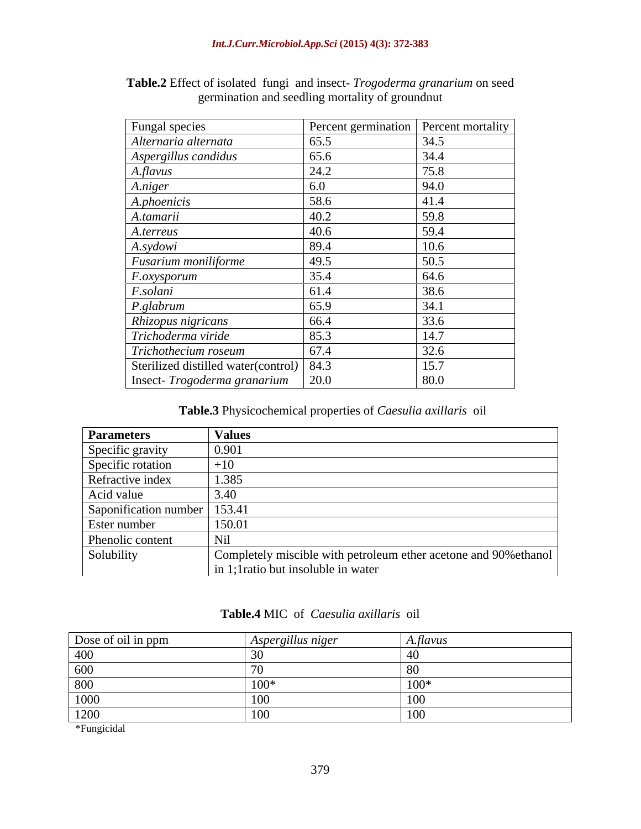| Fungal species                             | Percent germination   Percent mortality |      |
|--------------------------------------------|-----------------------------------------|------|
| Alternaria alternata                       | 65.5                                    | 34.5 |
| Aspergillus candidus                       | 65.6                                    | 34.4 |
| A.flavus                                   | 24.2                                    | 75.8 |
| A.niger                                    | 6.0                                     | 94.0 |
| A.phoenicis                                | 58.6                                    | 41.4 |
| A.tamarii                                  | 40.2                                    | 59.8 |
| A.terreus                                  | 40.6                                    | 59.4 |
| A.sydowi                                   | 89.4                                    | 10.6 |
| Fusarium moniliforme                       | 49.5                                    | 50.5 |
| F.oxysporum                                | 35.4                                    | 64.6 |
| F.solani                                   | 61.4                                    | 38.6 |
| P.glabrum                                  | 65.9                                    | 34.1 |
| Rhizopus nigricans                         | 66.4                                    | 33.6 |
| Trichoderma viride                         | 85.3                                    | 14.7 |
| Trichothecium roseum                       | 67.4                                    | 32.6 |
| Sterilized distilled water(control)   84.3 |                                         | 15.7 |
| Insect- $Trogoderma granarium$ 20.0        |                                         | 80.0 |

**Table.2** Effect of isolated fungi and insect- *Trogoderma granarium* on seed germination and seedling mortality of groundnut

### **Table.3** Physicochemical properties of *Caesulia axillaris* oil

| <b>Parameters</b>              | <b>Values</b>                                                    |
|--------------------------------|------------------------------------------------------------------|
| Specific gravity               | 0.901                                                            |
| Specific rotation              | $+10$                                                            |
| Refractive index               | 1.385                                                            |
| Acid value                     | 3.40                                                             |
| Saponification number   153.41 |                                                                  |
| Ester number                   | 150.01                                                           |
| Phenolic content               | Nil                                                              |
| Solubility                     | Completely miscible with petroleum ether acetone and 90% ethanol |
|                                | in 1;1 ratio but insoluble in water                              |

| JOS<br>of 011 in ppr | spergullus niger | .tlavu. |
|----------------------|------------------|---------|
| 400                  |                  |         |
| 600                  |                  |         |
| 800                  |                  |         |
| 1000                 |                  |         |
| 1200                 |                  |         |

\*Fungicidal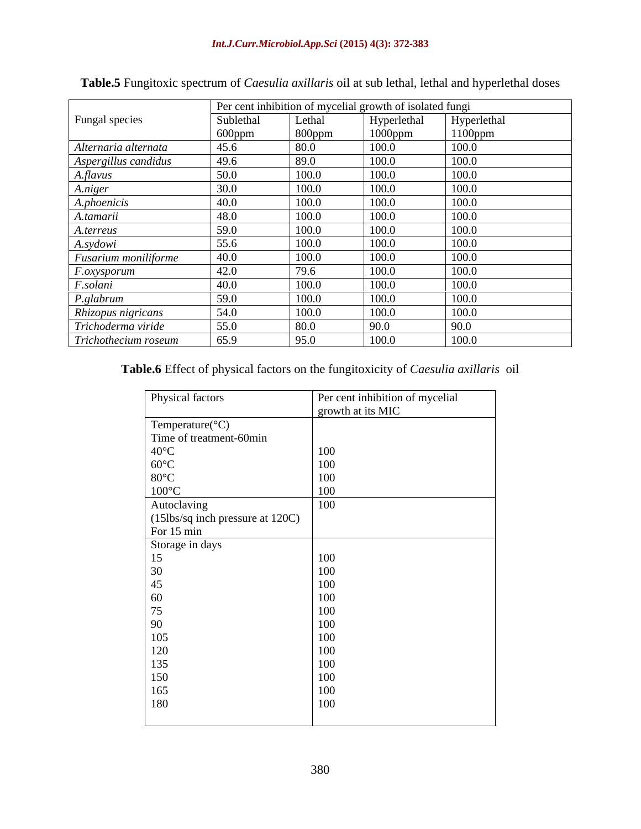|                      |           |           | Per cent inhibition of mycelial growth of isolated fungi |                       |
|----------------------|-----------|-----------|----------------------------------------------------------|-----------------------|
| Fungal species       | Sublethal | Lethal    | Hyperlethal                                              | Hyperlethal           |
|                      | 600ppm    | $800$ ppm | 1000ppm                                                  | 1100ppm               |
| Alternaria alternata | 45.6      | 80.0      | 100.0                                                    | 100.0                 |
| Aspergillus candidus | 49.6      | 89.0      | 100.0                                                    | 100.0                 |
| A.flavus             | 50.0      | 100.0     | 100.0                                                    | 100.0                 |
| A.niger              | 30.0      | 100.0     | 100.0                                                    | 100.0                 |
| 4.phoenicis          | 40.0      | 100.0     | 100.0                                                    | 100.0                 |
| A.tamarii            | 48.0      | 100.0     | 100.0                                                    | 100.0                 |
| A.terreus            | 59.0      | 100.0     | 100.0                                                    |                       |
| A.sydowi             | 55.6      | 100.0     | 100.0                                                    | $\frac{100.0}{100.0}$ |
| Fusarium moniliforme | 40.0      | 100.0     | 100.0                                                    | 100.0                 |
| <i>F.oxysporum</i>   | 42.0      | 79.6      | 100.0                                                    | 100.0                 |
| F.solani             | 40.0      | 100.0     | 100.0                                                    | 100.0                 |
| P.glabrum            | 59.0      | 100.0     | 100.0                                                    | 100.0                 |
| Rhizopus nigricans   | 54.0      | 100.0     | 100.0                                                    | 100.0                 |
| Trichoderma viride   | 55.0      | 80.0      | 90.0                                                     | 90.0                  |
| Trichothecium roseum | 65.9      | 95.0      | 100.0                                                    | 100.0                 |

**Table.5** Fungitoxic spectrum of *Caesulia axillaris* oil at sub lethal, lethal and hyperlethal doses

**Table.6** Effect of physical factors on the fungitoxicity of *Caesulia axillaris* oil

| Physical factors                                       | Per cent inhibition of mycelial |
|--------------------------------------------------------|---------------------------------|
|                                                        | growth at its MIC               |
| $\Gamma$ Temperature(°C)                               |                                 |
| Time of treatment-60min                                |                                 |
| $40^{\circ}$ C<br>60°C                                 | 100                             |
|                                                        | 100                             |
| $80^{\circ}$ C                                         | 100                             |
| $100^{\circ} \text{C}$                                 | 100                             |
| Autoclaving                                            | 100                             |
| $(15\text{lbs/sq inch pressure at } 120\text{C})$      |                                 |
| For $15 \text{ min}$                                   |                                 |
| Storage in days                                        |                                 |
|                                                        | 100                             |
| 30                                                     | 100                             |
| 45                                                     | 100                             |
| 60                                                     | 100                             |
| $\begin{array}{ c} \hline 75 \\ \hline 90 \end{array}$ | 100                             |
|                                                        | 100                             |
| 105                                                    | 100                             |
| 120                                                    | 100                             |
| 135                                                    | 100                             |
| 150                                                    | 100                             |
| 165                                                    | 100                             |
| 180                                                    | 100                             |
|                                                        |                                 |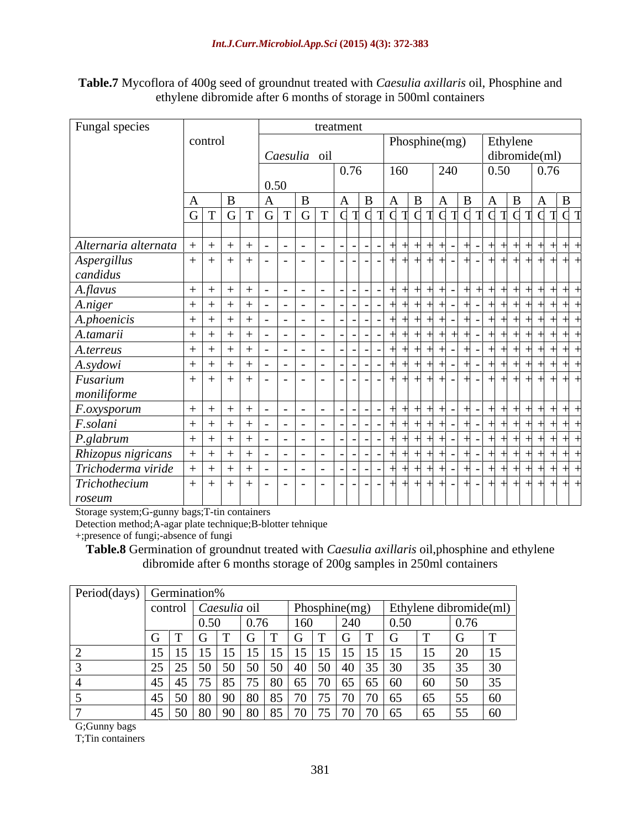**Table.7** Mycoflora of 400g seed of groundnut treated with *Caesulia axillaris* oil, Phosphine and ethylene dibromide after 6 months of storage in 500ml containers

| Fungal species          |   |                                                                                                                      |      |              | treatment |     |               |   |                               |      |  |
|-------------------------|---|----------------------------------------------------------------------------------------------------------------------|------|--------------|-----------|-----|---------------|---|-------------------------------|------|--|
|                         |   | control                                                                                                              |      |              |           |     | Phosphine(mg) |   | Ethylene                      |      |  |
|                         |   |                                                                                                                      |      | Caesulia oil |           |     |               |   | $\text{dibromide}(\text{ml})$ |      |  |
|                         |   |                                                                                                                      |      |              | 0.76      | 160 | 240           |   | $\vert 0.50 \vert$            | 0.76 |  |
|                         |   |                                                                                                                      | 0.50 |              |           |     |               |   |                               |      |  |
|                         |   |                                                                                                                      |      |              |           |     |               | B |                               |      |  |
|                         | G |                                                                                                                      |      | T G          |           |     |               |   |                               |      |  |
|                         |   |                                                                                                                      |      |              |           |     |               |   |                               |      |  |
| Alternaria alternata    |   |                                                                                                                      |      |              |           |     |               |   |                               |      |  |
| Aspergillus<br>candidus |   |                                                                                                                      |      |              |           |     |               |   |                               |      |  |
|                         |   |                                                                                                                      |      |              |           |     |               |   |                               |      |  |
| A.flavus                |   |                                                                                                                      |      |              |           |     |               |   |                               |      |  |
| A.niger                 |   |                                                                                                                      |      |              |           |     |               |   |                               |      |  |
| A.phoenicis             |   |                                                                                                                      |      |              |           |     |               |   |                               |      |  |
| A.tamarii               |   |                                                                                                                      |      |              |           |     |               |   |                               |      |  |
| A.terreus               |   |                                                                                                                      |      |              |           |     |               |   |                               |      |  |
| A.sydowi                |   |                                                                                                                      |      |              |           |     |               |   |                               |      |  |
| Fusarium                |   |                                                                                                                      |      |              |           |     |               |   |                               |      |  |
| moniliforme             |   |                                                                                                                      |      |              |           |     |               |   |                               |      |  |
| F.oxysporum             |   | <u> — 1920 — 1920 — 1920 — 1920 — 1920 — 1920 — 1920 — 1920 — 1920 — 1920 — 1920 — 1920 — 1920 — 1920 — 1920 — 1</u> |      |              |           |     |               |   |                               |      |  |
| F.solani                |   |                                                                                                                      |      |              |           |     |               |   |                               |      |  |
| P.glabrum               |   |                                                                                                                      |      |              |           |     |               |   |                               |      |  |
| Rhizopus nigricans      |   |                                                                                                                      |      |              |           |     |               |   |                               |      |  |
| Trichoderma viride      |   |                                                                                                                      |      |              |           |     |               |   |                               |      |  |
| Trichothecium           |   |                                                                                                                      |      |              |           |     |               |   |                               |      |  |
| roseum                  |   |                                                                                                                      |      |              |           |     |               |   |                               |      |  |

Storage system;G-gunny bags;T-tin containers

Detection method;A-agar plate technique;B-blotter tehnique

+;presence of fungi;-absence of fungi

**Table.8** Germination of groundnut treated with *Caesulia axillaris* oil,phosphine and ethylene dibromide after 6 months storage of 200g samples in 250ml containers

| Period(days) | $\sim$<br>$\setminus$ Germination \, |                |                   |                    |                      |                |                |                        |                                 |
|--------------|--------------------------------------|----------------|-------------------|--------------------|----------------------|----------------|----------------|------------------------|---------------------------------|
|              | control                              | l Caesulia 011 |                   |                    |                      |                |                | Ethylene dibromide(ml) |                                 |
|              |                                      | $v \cdot v$    | $\bigcap$<br>0.70 | $1\epsilon$<br>TOO | $\bigcap$            | $\mid$ 0.50    |                | 0.76                   |                                 |
|              | ____<br>$\sim$<br>$\overline{ }$     | ______         |                   | _____              | ___                  |                |                | $\mathbf{U}$           |                                 |
|              | $\overline{1}$                       |                |                   |                    | 15                   | $\overline{1}$ | 15<br>$1 \cup$ | $\sim$ $\sim$<br>້     | 'ິ                              |
|              | $\Delta \epsilon$                    |                | 50                |                    | 40                   | 20             | $\gamma$       | ັບ                     | $\overline{ }$                  |
|              | 145                                  | $\overline{ }$ |                   |                    | $65 \mid 65$         |                |                |                        |                                 |
|              | $45^{\circ}$                         | $\Omega$       | OC                |                    | $\tau$ $\tau$ $\tau$ |                | $\epsilon$     |                        | $\overline{\phantom{a}}$<br>-60 |
|              | $\vert 45 \vert 50 \vert$            | 90<br>-80      | 85<br>80          | $\sqrt{2}$         | 75 70 70             | 65             | 65<br>UJ.      | 55<br>ັບປ              | 60                              |

G;Gunny bags

T;Tin containers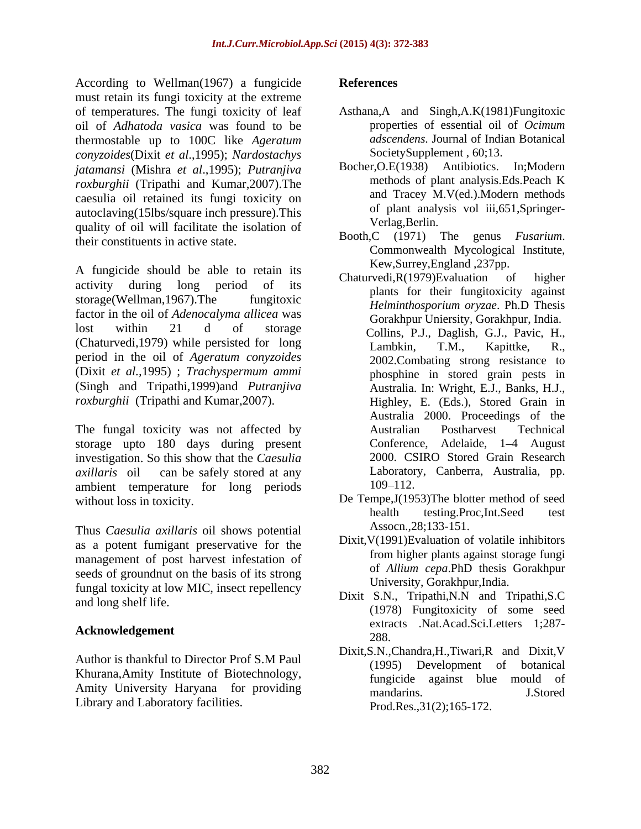According to Wellman(1967) a fungicide must retain its fungi toxicity at the extreme of temperatures. The fungi toxicity of leaf Asthana,A and Singh,A.K(1981)Fungitoxic oil of *Adhatoda vasica* was found to be thermostable up to 100C like *Ageratum conyzoides*(Dixit *et al.*,1995); *Nardostachys* SocietySupplement, 60;13.<br> *igtamansi* (Mishra *et al.* 1995): *Putraniiva* Bocher, O.E(1938) Antibiotics. In: Modern *jatamansi* (Mishra *et al.*,1995); *Putranjiva* Bocher, O.E(1938) Antibiotics. In: Modern<br>roxburghii (Tripathi and Kumar 2007) The methods of plant analysis. Eds. Peach K *roxburghii* (Tripathi and Kumar,2007).The caesulia oil retained its fungi toxicity on autoclaving(15lbs/square inch pressure).This quality of oil will facilitate the isolation of their constituents in active state.

A fungicide should be able to retain its<br>Chaturvedi, $R(1979)$ Evaluation of higher activity during long period of its storage(Wellman,1967).The fungitoxic *Helminthosporium oryzae*. Ph.D Thesis factor in the oil of *Adenocalyma allicea* was lost within 21 d of storage Collins, P.J., Daglish, G.J., Pavic, H., (Chaturvedi,1979) while persisted for long Lambkin, T.M., Kapittke, R., period in the oil of *Ageratum conyzoides* (Dixit *et al.,*1995) ; *Trachyspermum ammi* (Singh and Tripathi,1999)and *Putranjiva*

The fungal toxicity was not affected by Australian Postharvest Technical storage upto 180 days during present investigation. So this show that the *Caesulia axillaris* oil can be safely stored at any Laboratory, Canberra, Australia, pp. ambient temperature for long periods 109–112.

Thus *Caesulia axillaris* oil shows potential as a potent fumigant preservative for the  $\frac{Dixit, V(1991)Evaluation \text{ of } volume}$  from higher plants against storage fungi management of post harvest infestation of seeds of groundnut on the basis of its strong fungal toxicity at low MIC, insect repellency

### Acknowledgement 288.

Author is thankful to Director Prof S.M Paul (1995) Development of botanical Khurana,Amity Institute of Biotechnology, Amity University Haryana for providing mandarins. J.Stored Library and Laboratory facilities.

#### **References**

- properties of essential oil of *Ocimum adscendens*. Journal of Indian Botanical SocietySupplement , 60;13.
- Bocher, O.E(1938) Antibiotics. methods of plant analysis.Eds.Peach K and Tracey M.V(ed.).Modern methods of plant analysis vol iii,651,Springer- Verlag,Berlin.
- Booth,C (1971) The genus *Fusarium*. Commonwealth Mycological Institute, Kew,Surrey,England ,237pp.
- *roxburghii* (Tripathi and Kumar,2007). Highley, E. (Eds.), Stored Grain in  $Chaturvedi, R(1979)$ Evaluation plants for their fungitoxicity against *Helminthosporium oryzae*. Ph.D Thesis Gorakhpur Uniersity, Gorakhpur, India. Lambkin, T.M., Kapittke, R., 2002.Combating strong resistance to phosphine in stored grain pests in Australia. In: Wright, E.J., Banks, H.J., Australia 2000. Proceedings of the Australian Postharvest Technical Conference, Adelaide, 1–4 August 2000. CSIRO Stored Grain Research 109–112.
- without loss in toxicity. De Tempe, J(1953) The blotter method of seed health testing.Proc,Int.Seed test Assocn.,28;133-151.
	- Dixit,V(1991)Evaluation of volatile inhibitors from higher plants against storage fungi of *Allium cepa*.PhD thesis Gorakhpur University, Gorakhpur,India.
- and long shelf life.<br>
(1978) Fungitoxicity of some seed Dixit S.N., Tripathi,N.N and Tripathi,S.C extracts .Nat.Acad.Sci.Letters 1;287- 288.
	- Dixit,S.N.,Chandra,H.,Tiwari,R and Dixit,V (1995) Development of botanical fungicide against blue mould of mandarins. J.Stored Prod.Res.,31(2);165-172.